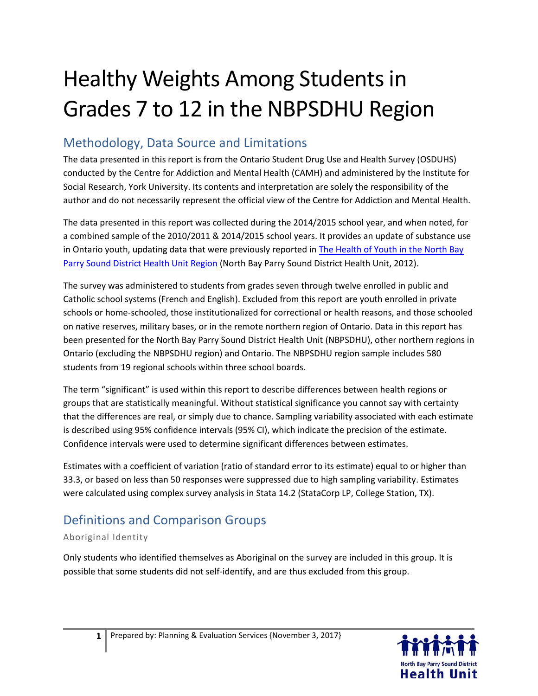# Healthy Weights Among Students in Grades 7 to 12 in the NBPSDHU Region

## Methodology, Data Source and Limitations

The data presented in this report is from the Ontario Student Drug Use and Health Survey (OSDUHS) conducted by the Centre for Addiction and Mental Health (CAMH) and administered by the Institute for Social Research, York University. Its contents and interpretation are solely the responsibility of the author and do not necessarily represent the official view of the Centre for Addiction and Mental Health.

The data presented in this report was collected during the 2014/2015 school year, and when noted, for a combined sample of the 2010/2011 & 2014/2015 school years. It provides an update of substance use in Ontario youth, updating data that were previously reported in The Health of Youth in the North Bay [Parry Sound District Health Unit Region](http://www.myhealthunit.ca/en/partnerandhealthproviderresources/resources/Reports__Stats/TheHealthofYouthintheNBPSDHURegionNov2012.pdf) (North Bay Parry Sound District Health Unit, 2012).

The survey was administered to students from grades seven through twelve enrolled in public and Catholic school systems (French and English). Excluded from this report are youth enrolled in private schools or home-schooled, those institutionalized for correctional or health reasons, and those schooled on native reserves, military bases, or in the remote northern region of Ontario. Data in this report has been presented for the North Bay Parry Sound District Health Unit (NBPSDHU), other northern regions in Ontario (excluding the NBPSDHU region) and Ontario. The NBPSDHU region sample includes 580 students from 19 regional schools within three school boards.

The term "significant" is used within this report to describe differences between health regions or groups that are statistically meaningful. Without statistical significance you cannot say with certainty that the differences are real, or simply due to chance. Sampling variability associated with each estimate is described using 95% confidence intervals (95% CI), which indicate the precision of the estimate. Confidence intervals were used to determine significant differences between estimates.

Estimates with a coefficient of variation (ratio of standard error to its estimate) equal to or higher than 33.3, or based on less than 50 responses were suppressed due to high sampling variability. Estimates were calculated using complex survey analysis in Stata 14.2 (StataCorp LP, College Station, TX).

## Definitions and Comparison Groups

### Aboriginal Identity

Only students who identified themselves as Aboriginal on the survey are included in this group. It is possible that some students did not self-identify, and are thus excluded from this group.

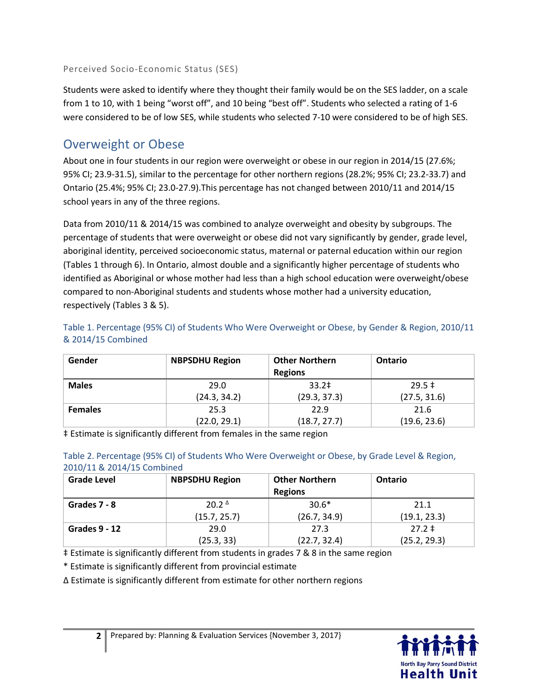Perceived Socio-Economic Status (SES)

Students were asked to identify where they thought their family would be on the SES ladder, on a scale from 1 to 10, with 1 being "worst off", and 10 being "best off". Students who selected a rating of 1-6 were considered to be of low SES, while students who selected 7-10 were considered to be of high SES.

## Overweight or Obese

About one in four students in our region were overweight or obese in our region in 2014/15 (27.6%; 95% CI; 23.9-31.5), similar to the percentage for other northern regions (28.2%; 95% CI; 23.2-33.7) and Ontario (25.4%; 95% CI; 23.0-27.9).This percentage has not changed between 2010/11 and 2014/15 school years in any of the three regions.

Data from 2010/11 & 2014/15 was combined to analyze overweight and obesity by subgroups. The percentage of students that were overweight or obese did not vary significantly by gender, grade level, aboriginal identity, perceived socioeconomic status, maternal or paternal education within our region (Tables 1 through 6). In Ontario, almost double and a significantly higher percentage of students who identified as Aboriginal or whose mother had less than a high school education were overweight/obese compared to non-Aboriginal students and students whose mother had a university education, respectively (Tables 3 & 5).

| Table 1. Percentage (95% CI) of Students Who Were Overweight or Obese, by Gender & Region, 2010/11 |  |  |
|----------------------------------------------------------------------------------------------------|--|--|
| & 2014/15 Combined                                                                                 |  |  |

| Gender         | <b>NBPSDHU Region</b> | <b>Other Northern</b><br><b>Regions</b> | <b>Ontario</b> |
|----------------|-----------------------|-----------------------------------------|----------------|
| <b>Males</b>   | 29.0                  | 33.2 <sup>‡</sup>                       | $29.5 \pm$     |
|                | (24.3, 34.2)          | (29.3, 37.3)                            | (27.5, 31.6)   |
| <b>Females</b> | 25.3                  | 22.9                                    | 21.6           |
|                | (22.0, 29.1)          | (18.7, 27.7)                            | (19.6, 23.6)   |

‡ Estimate is significantly different from females in the same region

|                            |  | Table 2. Percentage (95% CI) of Students Who Were Overweight or Obese, by Grade Level & Region, |  |  |
|----------------------------|--|-------------------------------------------------------------------------------------------------|--|--|
| 2010/11 & 2014/15 Combined |  |                                                                                                 |  |  |

| <b>Grade Level</b> | <b>NBPSDHU Region</b> | <b>Other Northern</b><br><b>Regions</b> | <b>Ontario</b> |
|--------------------|-----------------------|-----------------------------------------|----------------|
| Grades 7 - 8       | $20.2^{\Delta}$       | $30.6*$                                 | 21.1           |
|                    | (15.7, 25.7)          | (26.7, 34.9)                            | (19.1, 23.3)   |
| Grades $9 - 12$    | 29.0                  | 27.3                                    | $27.2 \pm$     |
|                    | (25.3, 33)            | (22.7, 32.4)                            | (25.2, 29.3)   |

‡ Estimate is significantly different from students in grades 7 & 8 in the same region

\* Estimate is significantly different from provincial estimate

Δ Estimate is significantly different from estimate for other northern regions

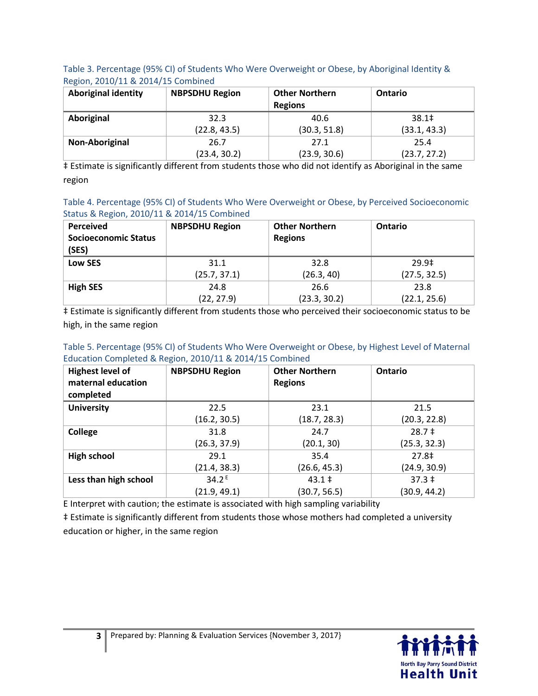#### Table 3. Percentage (95% CI) of Students Who Were Overweight or Obese, by Aboriginal Identity & Region, 2010/11 & 2014/15 Combined

| <b>Aboriginal identity</b> | <b>NBPSDHU Region</b> | <b>Other Northern</b><br><b>Regions</b> | <b>Ontario</b>    |
|----------------------------|-----------------------|-----------------------------------------|-------------------|
| Aboriginal                 | 32.3                  | 40.6                                    | 38.1 <sup>‡</sup> |
|                            | (22.8, 43.5)          | (30.3, 51.8)                            | (33.1, 43.3)      |
| Non-Aboriginal             | 26.7                  | 27.1                                    | 25.4              |
|                            | (23.4, 30.2)          | (23.9, 30.6)                            | (23.7, 27.2)      |

‡ Estimate is significantly different from students those who did not identify as Aboriginal in the same region

Table 4. Percentage (95% CI) of Students Who Were Overweight or Obese, by Perceived Socioeconomic Status & Region, 2010/11 & 2014/15 Combined

| <b>Perceived</b><br><b>Socioeconomic Status</b><br>(SES) | <b>NBPSDHU Region</b> | <b>Other Northern</b><br><b>Regions</b> | <b>Ontario</b> |
|----------------------------------------------------------|-----------------------|-----------------------------------------|----------------|
| Low SES                                                  | 31.1                  | 32.8                                    | 29.9‡          |
|                                                          | (25.7, 37.1)          | (26.3, 40)                              | (27.5, 32.5)   |
| <b>High SES</b>                                          | 24.8                  | 26.6                                    | 23.8           |
|                                                          | (22, 27.9)            | (23.3, 30.2)                            | (22.1, 25.6)   |

‡ Estimate is significantly different from students those who perceived their socioeconomic status to be high, in the same region

#### Table 5. Percentage (95% CI) of Students Who Were Overweight or Obese, by Highest Level of Maternal Education Completed & Region, 2010/11 & 2014/15 Combined

| <b>Highest level of</b><br>maternal education<br>completed | <b>NBPSDHU Region</b> | <b>Other Northern</b><br><b>Regions</b> | Ontario      |
|------------------------------------------------------------|-----------------------|-----------------------------------------|--------------|
| <b>University</b>                                          | 22.5                  | 23.1                                    | 21.5         |
|                                                            | (16.2, 30.5)          | (18.7, 28.3)                            | (20.3, 22.8) |
| College                                                    | 31.8                  | 24.7                                    | $28.7 \pm$   |
|                                                            | (26.3, 37.9)          | (20.1, 30)                              | (25.3, 32.3) |
| <b>High school</b>                                         | 29.1                  | 35.4                                    | 27.8‡        |
|                                                            | (21.4, 38.3)          | (26.6, 45.3)                            | (24.9, 30.9) |
| Less than high school                                      | $34.2^{E}$            | $43.1 \pm$                              | $37.3 \pm$   |
|                                                            | (21.9, 49.1)          | (30.7, 56.5)                            | (30.9, 44.2) |

E Interpret with caution; the estimate is associated with high sampling variability

‡ Estimate is significantly different from students those whose mothers had completed a university education or higher, in the same region

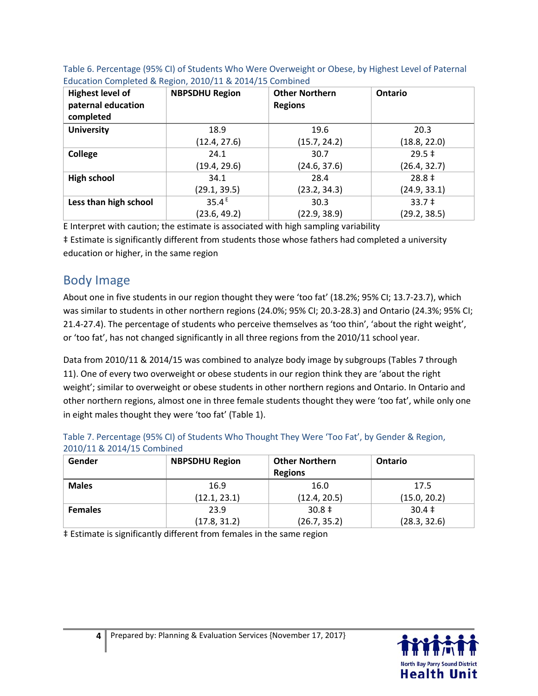| <b>Highest level of</b><br>paternal education<br>completed | <b>NBPSDHU Region</b> | <b>Other Northern</b><br><b>Regions</b> | Ontario                 |
|------------------------------------------------------------|-----------------------|-----------------------------------------|-------------------------|
| <b>University</b>                                          | 18.9                  | 19.6                                    | 20.3                    |
|                                                            | (12.4, 27.6)          | (15.7, 24.2)                            | (18.8, 22.0)            |
| <b>College</b>                                             | 24.1                  | 30.7                                    | $29.5 \pm$              |
|                                                            | (19.4, 29.6)          | (24.6, 37.6)                            | (26.4, 32.7)            |
| <b>High school</b>                                         | 34.1                  | 28.4                                    | $28.8 \pm$              |
|                                                            | (29.1, 39.5)          | (23.2, 34.3)                            | (24.9, 33.1)            |
| Less than high school                                      | 35.4 <sup>E</sup>     | 30.3                                    | $33.7 \;{\rm \ddagger}$ |
|                                                            | (23.6, 49.2)          | (22.9, 38.9)                            | (29.2, 38.5)            |

| Table 6. Percentage (95% CI) of Students Who Were Overweight or Obese, by Highest Level of Paternal |
|-----------------------------------------------------------------------------------------------------|
| Education Completed & Region, 2010/11 & 2014/15 Combined                                            |

E Interpret with caution; the estimate is associated with high sampling variability ‡ Estimate is significantly different from students those whose fathers had completed a university education or higher, in the same region

## Body Image

About one in five students in our region thought they were 'too fat' (18.2%; 95% CI; 13.7-23.7), which was similar to students in other northern regions (24.0%; 95% CI; 20.3-28.3) and Ontario (24.3%; 95% CI; 21.4-27.4). The percentage of students who perceive themselves as 'too thin', 'about the right weight', or 'too fat', has not changed significantly in all three regions from the 2010/11 school year.

Data from 2010/11 & 2014/15 was combined to analyze body image by subgroups (Tables 7 through 11). One of every two overweight or obese students in our region think they are 'about the right weight'; similar to overweight or obese students in other northern regions and Ontario. In Ontario and other northern regions, almost one in three female students thought they were 'too fat', while only one in eight males thought they were 'too fat' (Table 1).

| <b>ZUID/II &amp; ZUI4/IS COMPINED</b> |                       |                                         |                |  |  |
|---------------------------------------|-----------------------|-----------------------------------------|----------------|--|--|
| Gender                                | <b>NBPSDHU Region</b> | <b>Other Northern</b><br><b>Regions</b> | <b>Ontario</b> |  |  |
| <b>Males</b>                          | 16.9                  | 16.0                                    | 17.5           |  |  |
|                                       | (12.1, 23.1)          | (12.4, 20.5)                            | (15.0, 20.2)   |  |  |
| <b>Females</b>                        | 23.9                  | $30.8 \pm$                              | $30.4 \pm$     |  |  |
|                                       | (17.8, 31.2)          | (26.7, 35.2)                            | (28.3, 32.6)   |  |  |

Table 7. Percentage (95% CI) of Students Who Thought They Were 'Too Fat', by Gender & Region, 2010/11 & 2014/15 Combined

‡ Estimate is significantly different from females in the same region

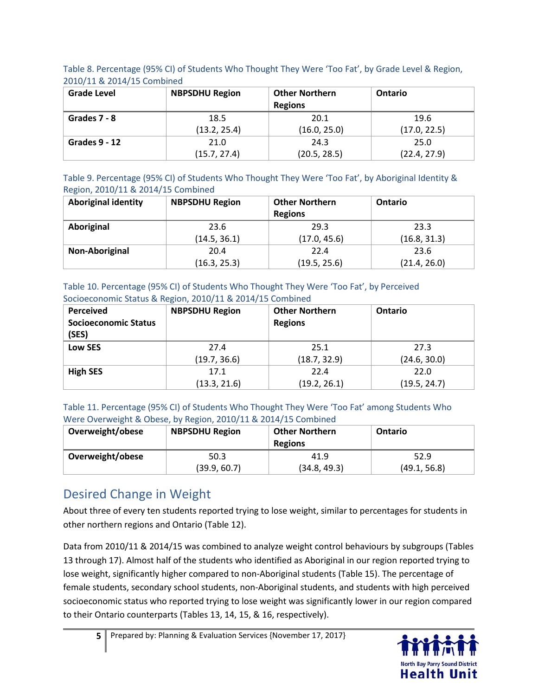Table 8. Percentage (95% CI) of Students Who Thought They Were 'Too Fat', by Grade Level & Region, 2010/11 & 2014/15 Combined

| <b>Grade Level</b>   | <b>NBPSDHU Region</b> | <b>Other Northern</b><br><b>Regions</b> | <b>Ontario</b> |
|----------------------|-----------------------|-----------------------------------------|----------------|
| Grades 7 - 8         | 18.5                  | 20.1                                    | 19.6           |
|                      | (13.2, 25.4)          | (16.0, 25.0)                            | (17.0, 22.5)   |
| <b>Grades 9 - 12</b> | 21.0                  | 24.3                                    | 25.0           |
|                      | (15.7, 27.4)          | (20.5, 28.5)                            | (22.4, 27.9)   |

Table 9. Percentage (95% CI) of Students Who Thought They Were 'Too Fat', by Aboriginal Identity & Region, 2010/11 & 2014/15 Combined

| <b>Aboriginal identity</b> | <b>NBPSDHU Region</b> | <b>Other Northern</b><br><b>Regions</b> | Ontario      |
|----------------------------|-----------------------|-----------------------------------------|--------------|
| Aboriginal                 | 23.6                  | 29.3                                    | 23.3         |
|                            | (14.5, 36.1)          | (17.0, 45.6)                            | (16.8, 31.3) |
| Non-Aboriginal             | 20.4                  | 22.4                                    | 23.6         |
|                            | (16.3, 25.3)          | (19.5, 25.6)                            | (21.4, 26.0) |

#### Table 10. Percentage (95% CI) of Students Who Thought They Were 'Too Fat', by Perceived Socioeconomic Status & Region, 2010/11 & 2014/15 Combined

| Perceived<br><b>Socioeconomic Status</b><br>(SES) | <b>NBPSDHU Region</b> | <b>Other Northern</b><br><b>Regions</b> | <b>Ontario</b> |
|---------------------------------------------------|-----------------------|-----------------------------------------|----------------|
| Low SES                                           | 27.4                  | 25.1                                    | 27.3           |
|                                                   | (19.7, 36.6)          | (18.7, 32.9)                            | (24.6, 30.0)   |
| <b>High SES</b>                                   | 17.1                  | 22.4                                    | 22.0           |
|                                                   | (13.3, 21.6)          | (19.2, 26.1)                            | (19.5, 24.7)   |

#### Table 11. Percentage (95% CI) of Students Who Thought They Were 'Too Fat' among Students Who Were Overweight & Obese, by Region, 2010/11 & 2014/15 Combined

| Overweight/obese | <b>NBPSDHU Region</b> | <b>Other Northern</b><br><b>Regions</b> | Ontario      |
|------------------|-----------------------|-----------------------------------------|--------------|
| Overweight/obese | 50.3                  | 41.9                                    | 52.9         |
|                  | (39.9, 60.7)          | (34.8, 49.3)                            | (49.1, 56.8) |

## Desired Change in Weight

About three of every ten students reported trying to lose weight, similar to percentages for students in other northern regions and Ontario (Table 12).

Data from 2010/11 & 2014/15 was combined to analyze weight control behaviours by subgroups (Tables 13 through 17). Almost half of the students who identified as Aboriginal in our region reported trying to lose weight, significantly higher compared to non-Aboriginal students (Table 15). The percentage of female students, secondary school students, non-Aboriginal students, and students with high perceived socioeconomic status who reported trying to lose weight was significantly lower in our region compared to their Ontario counterparts (Tables 13, 14, 15, & 16, respectively).

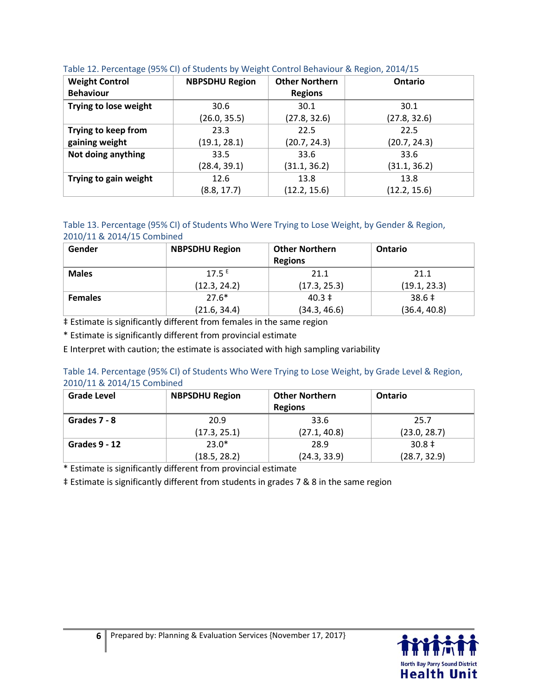| <b>Weight Control</b><br><b>Behaviour</b> | <b>NBPSDHU Region</b> | <b>Other Northern</b><br><b>Regions</b> | Ontario      |
|-------------------------------------------|-----------------------|-----------------------------------------|--------------|
| Trying to lose weight                     | 30.6                  | 30.1                                    | 30.1         |
|                                           | (26.0, 35.5)          | (27.8, 32.6)                            | (27.8, 32.6) |
| Trying to keep from                       | 23.3                  | 22.5                                    | 22.5         |
| gaining weight                            | (19.1, 28.1)          | (20.7, 24.3)                            | (20.7, 24.3) |
| Not doing anything                        | 33.5                  | 33.6                                    | 33.6         |
|                                           | (28.4, 39.1)          | (31.1, 36.2)                            | (31.1, 36.2) |
| Trying to gain weight                     | 12.6                  | 13.8                                    | 13.8         |
|                                           | (8.8, 17.7)           | (12.2, 15.6)                            | (12.2, 15.6) |

#### Table 12. Percentage (95% CI) of Students by Weight Control Behaviour & Region, 2014/15

#### Table 13. Percentage (95% CI) of Students Who Were Trying to Lose Weight, by Gender & Region, 2010/11 & 2014/15 Combined

| Gender         | <b>NBPSDHU Region</b> | <b>Other Northern</b><br><b>Regions</b> | Ontario      |
|----------------|-----------------------|-----------------------------------------|--------------|
| <b>Males</b>   | $17.5^E$              | 21.1                                    | 21.1         |
|                | (12.3, 24.2)          | (17.3, 25.3)                            | (19.1, 23.3) |
| <b>Females</b> | $27.6*$               | $40.3 \pm$                              | $38.6 \pm$   |
|                | (21.6, 34.4)          | (34.3, 46.6)                            | (36.4, 40.8) |

‡ Estimate is significantly different from females in the same region

\* Estimate is significantly different from provincial estimate

E Interpret with caution; the estimate is associated with high sampling variability

#### Table 14. Percentage (95% CI) of Students Who Were Trying to Lose Weight, by Grade Level & Region, 2010/11 & 2014/15 Combined

| <b>Grade Level</b> | <b>NBPSDHU Region</b> | <b>Other Northern</b><br><b>Regions</b> | <b>Ontario</b> |
|--------------------|-----------------------|-----------------------------------------|----------------|
| Grades 7 - 8       | 20.9                  | 33.6                                    | 25.7           |
|                    | (17.3, 25.1)          | (27.1, 40.8)                            | (23.0, 28.7)   |
| Grades 9 - 12      | $23.0*$               | 28.9                                    | $30.8 \pm$     |
|                    | (18.5, 28.2)          | (24.3, 33.9)                            | (28.7, 32.9)   |

\* Estimate is significantly different from provincial estimate

‡ Estimate is significantly different from students in grades 7 & 8 in the same region